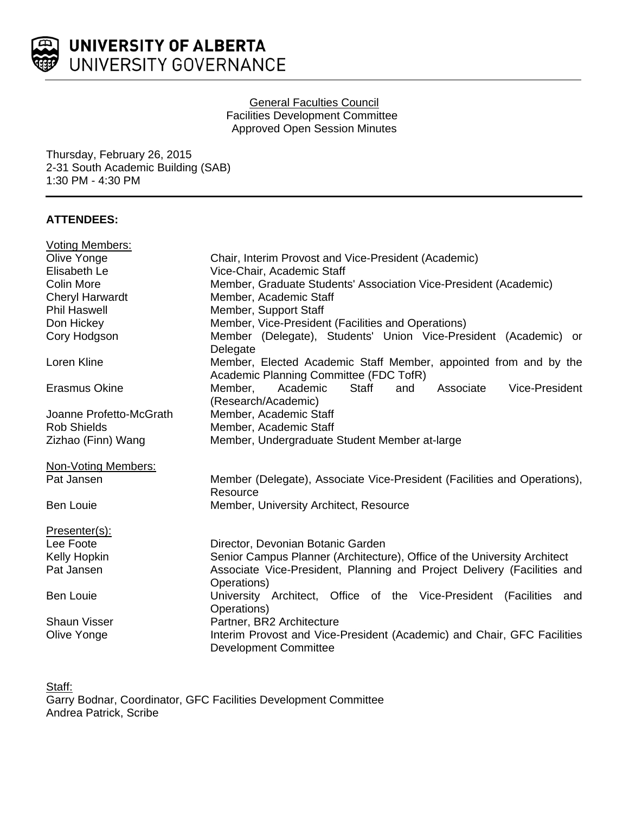

### General Faculties Council Facilities Development Committee Approved Open Session Minutes

Thursday, February 26, 2015 2-31 South Academic Building (SAB) 1:30 PM - 4:30 PM

# **ATTENDEES:**

| <b>Voting Members:</b>  |                                                                                                            |
|-------------------------|------------------------------------------------------------------------------------------------------------|
| Olive Yonge             | Chair, Interim Provost and Vice-President (Academic)                                                       |
| Elisabeth Le            | Vice-Chair, Academic Staff                                                                                 |
| Colin More              | Member, Graduate Students' Association Vice-President (Academic)                                           |
| <b>Cheryl Harwardt</b>  | Member, Academic Staff                                                                                     |
| <b>Phil Haswell</b>     | Member, Support Staff                                                                                      |
| Don Hickey              | Member, Vice-President (Facilities and Operations)                                                         |
| Cory Hodgson            | Member (Delegate), Students' Union Vice-President (Academic) or<br>Delegate                                |
| Loren Kline             | Member, Elected Academic Staff Member, appointed from and by the<br>Academic Planning Committee (FDC TofR) |
| <b>Erasmus Okine</b>    | Member,<br><b>Staff</b><br>Associate<br>Vice-President<br>Academic<br>and<br>(Research/Academic)           |
| Joanne Profetto-McGrath | Member, Academic Staff                                                                                     |
| <b>Rob Shields</b>      | Member, Academic Staff                                                                                     |
| Zizhao (Finn) Wang      | Member, Undergraduate Student Member at-large                                                              |
| Non-Voting Members:     |                                                                                                            |
| Pat Jansen              | Member (Delegate), Associate Vice-President (Facilities and Operations),<br>Resource                       |
| <b>Ben Louie</b>        | Member, University Architect, Resource                                                                     |
| Presenter(s):           |                                                                                                            |
| Lee Foote               | Director, Devonian Botanic Garden                                                                          |
| Kelly Hopkin            | Senior Campus Planner (Architecture), Office of the University Architect                                   |
| Pat Jansen              | Associate Vice-President, Planning and Project Delivery (Facilities and<br>Operations)                     |
| <b>Ben Louie</b>        | University Architect, Office of the Vice-President (Facilities and<br>Operations)                          |
| <b>Shaun Visser</b>     | Partner, BR2 Architecture                                                                                  |
| Olive Yonge             | Interim Provost and Vice-President (Academic) and Chair, GFC Facilities<br><b>Development Committee</b>    |

Staff: Garry Bodnar, Coordinator, GFC Facilities Development Committee Andrea Patrick, Scribe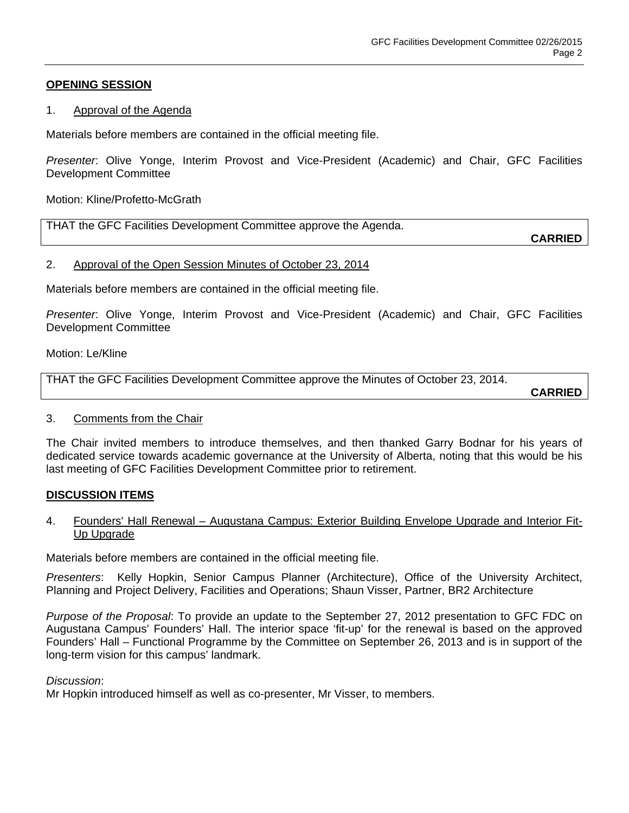# **OPENING SESSION**

### 1. Approval of the Agenda

Materials before members are contained in the official meeting file.

*Presenter*: Olive Yonge, Interim Provost and Vice-President (Academic) and Chair, GFC Facilities Development Committee

Motion: Kline/Profetto-McGrath

THAT the GFC Facilities Development Committee approve the Agenda.

**CARRIED**

### 2. Approval of the Open Session Minutes of October 23, 2014

Materials before members are contained in the official meeting file.

*Presenter*: Olive Yonge, Interim Provost and Vice-President (Academic) and Chair, GFC Facilities Development Committee

Motion: Le/Kline

THAT the GFC Facilities Development Committee approve the Minutes of October 23, 2014.

**CARRIED**

### 3. Comments from the Chair

The Chair invited members to introduce themselves, and then thanked Garry Bodnar for his years of dedicated service towards academic governance at the University of Alberta, noting that this would be his last meeting of GFC Facilities Development Committee prior to retirement.

### **DISCUSSION ITEMS**

### 4. Founders' Hall Renewal – Augustana Campus: Exterior Building Envelope Upgrade and Interior Fit-Up Upgrade

Materials before members are contained in the official meeting file.

*Presenters*: Kelly Hopkin, Senior Campus Planner (Architecture), Office of the University Architect, Planning and Project Delivery, Facilities and Operations; Shaun Visser, Partner, BR2 Architecture

*Purpose of the Proposal*: To provide an update to the September 27, 2012 presentation to GFC FDC on Augustana Campus' Founders' Hall. The interior space 'fit-up' for the renewal is based on the approved Founders' Hall – Functional Programme by the Committee on September 26, 2013 and is in support of the long-term vision for this campus' landmark.

### *Discussion*:

Mr Hopkin introduced himself as well as co-presenter, Mr Visser, to members.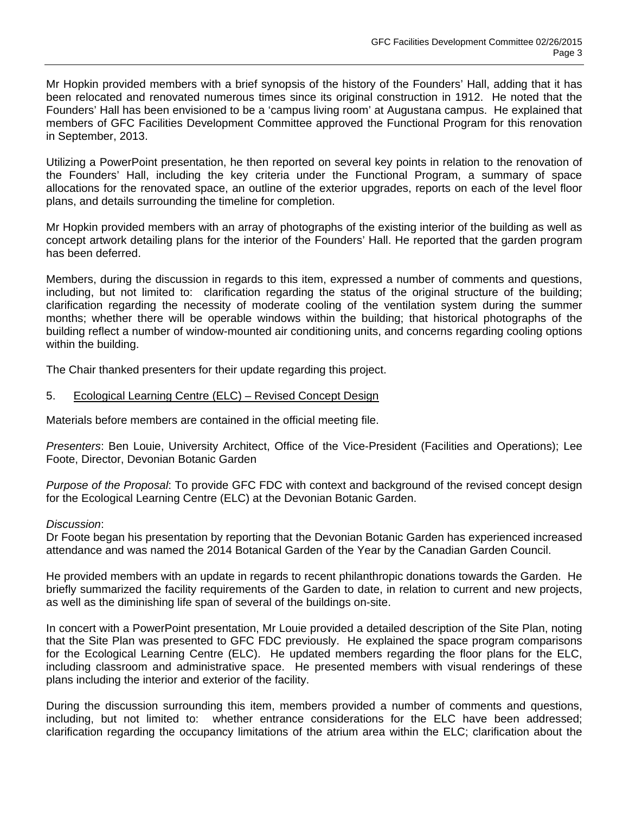Mr Hopkin provided members with a brief synopsis of the history of the Founders' Hall, adding that it has been relocated and renovated numerous times since its original construction in 1912. He noted that the Founders' Hall has been envisioned to be a 'campus living room' at Augustana campus. He explained that members of GFC Facilities Development Committee approved the Functional Program for this renovation in September, 2013.

Utilizing a PowerPoint presentation, he then reported on several key points in relation to the renovation of the Founders' Hall, including the key criteria under the Functional Program, a summary of space allocations for the renovated space, an outline of the exterior upgrades, reports on each of the level floor plans, and details surrounding the timeline for completion.

Mr Hopkin provided members with an array of photographs of the existing interior of the building as well as concept artwork detailing plans for the interior of the Founders' Hall. He reported that the garden program has been deferred.

Members, during the discussion in regards to this item, expressed a number of comments and questions, including, but not limited to: clarification regarding the status of the original structure of the building; clarification regarding the necessity of moderate cooling of the ventilation system during the summer months; whether there will be operable windows within the building; that historical photographs of the building reflect a number of window-mounted air conditioning units, and concerns regarding cooling options within the building.

The Chair thanked presenters for their update regarding this project.

5. Ecological Learning Centre (ELC) – Revised Concept Design

Materials before members are contained in the official meeting file.

*Presenters*: Ben Louie, University Architect, Office of the Vice-President (Facilities and Operations); Lee Foote, Director, Devonian Botanic Garden

*Purpose of the Proposal*: To provide GFC FDC with context and background of the revised concept design for the Ecological Learning Centre (ELC) at the Devonian Botanic Garden.

### *Discussion*:

Dr Foote began his presentation by reporting that the Devonian Botanic Garden has experienced increased attendance and was named the 2014 Botanical Garden of the Year by the Canadian Garden Council.

He provided members with an update in regards to recent philanthropic donations towards the Garden. He briefly summarized the facility requirements of the Garden to date, in relation to current and new projects, as well as the diminishing life span of several of the buildings on-site.

In concert with a PowerPoint presentation, Mr Louie provided a detailed description of the Site Plan, noting that the Site Plan was presented to GFC FDC previously. He explained the space program comparisons for the Ecological Learning Centre (ELC). He updated members regarding the floor plans for the ELC, including classroom and administrative space. He presented members with visual renderings of these plans including the interior and exterior of the facility.

During the discussion surrounding this item, members provided a number of comments and questions, including, but not limited to: whether entrance considerations for the ELC have been addressed; clarification regarding the occupancy limitations of the atrium area within the ELC; clarification about the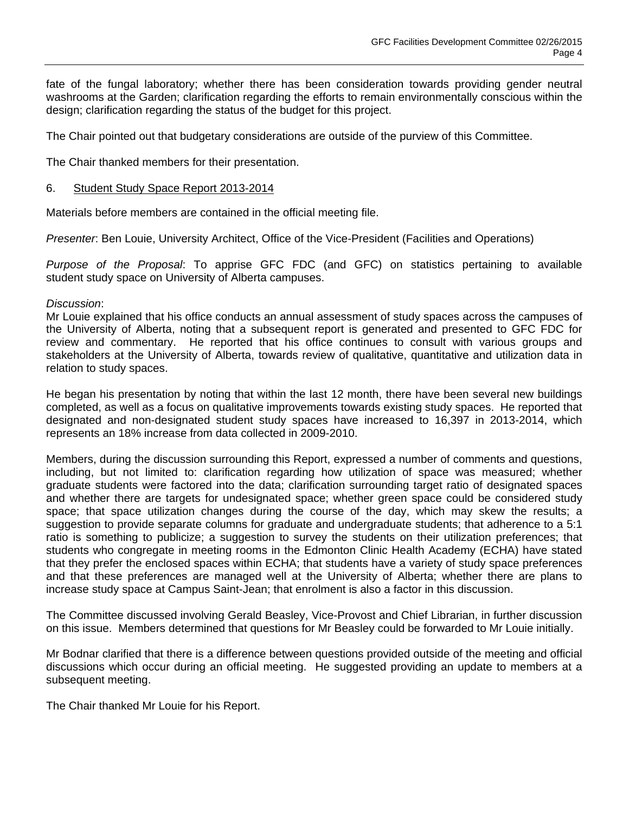fate of the fungal laboratory; whether there has been consideration towards providing gender neutral washrooms at the Garden; clarification regarding the efforts to remain environmentally conscious within the design; clarification regarding the status of the budget for this project.

The Chair pointed out that budgetary considerations are outside of the purview of this Committee.

The Chair thanked members for their presentation.

### 6. Student Study Space Report 2013-2014

Materials before members are contained in the official meeting file.

*Presenter*: Ben Louie, University Architect, Office of the Vice-President (Facilities and Operations)

*Purpose of the Proposal*: To apprise GFC FDC (and GFC) on statistics pertaining to available student study space on University of Alberta campuses.

### *Discussion*:

Mr Louie explained that his office conducts an annual assessment of study spaces across the campuses of the University of Alberta, noting that a subsequent report is generated and presented to GFC FDC for review and commentary. He reported that his office continues to consult with various groups and stakeholders at the University of Alberta, towards review of qualitative, quantitative and utilization data in relation to study spaces.

He began his presentation by noting that within the last 12 month, there have been several new buildings completed, as well as a focus on qualitative improvements towards existing study spaces. He reported that designated and non-designated student study spaces have increased to 16,397 in 2013-2014, which represents an 18% increase from data collected in 2009-2010.

Members, during the discussion surrounding this Report, expressed a number of comments and questions, including, but not limited to: clarification regarding how utilization of space was measured; whether graduate students were factored into the data; clarification surrounding target ratio of designated spaces and whether there are targets for undesignated space; whether green space could be considered study space; that space utilization changes during the course of the day, which may skew the results; a suggestion to provide separate columns for graduate and undergraduate students; that adherence to a 5:1 ratio is something to publicize; a suggestion to survey the students on their utilization preferences; that students who congregate in meeting rooms in the Edmonton Clinic Health Academy (ECHA) have stated that they prefer the enclosed spaces within ECHA; that students have a variety of study space preferences and that these preferences are managed well at the University of Alberta; whether there are plans to increase study space at Campus Saint-Jean; that enrolment is also a factor in this discussion.

The Committee discussed involving Gerald Beasley, Vice-Provost and Chief Librarian, in further discussion on this issue. Members determined that questions for Mr Beasley could be forwarded to Mr Louie initially.

Mr Bodnar clarified that there is a difference between questions provided outside of the meeting and official discussions which occur during an official meeting. He suggested providing an update to members at a subsequent meeting.

The Chair thanked Mr Louie for his Report.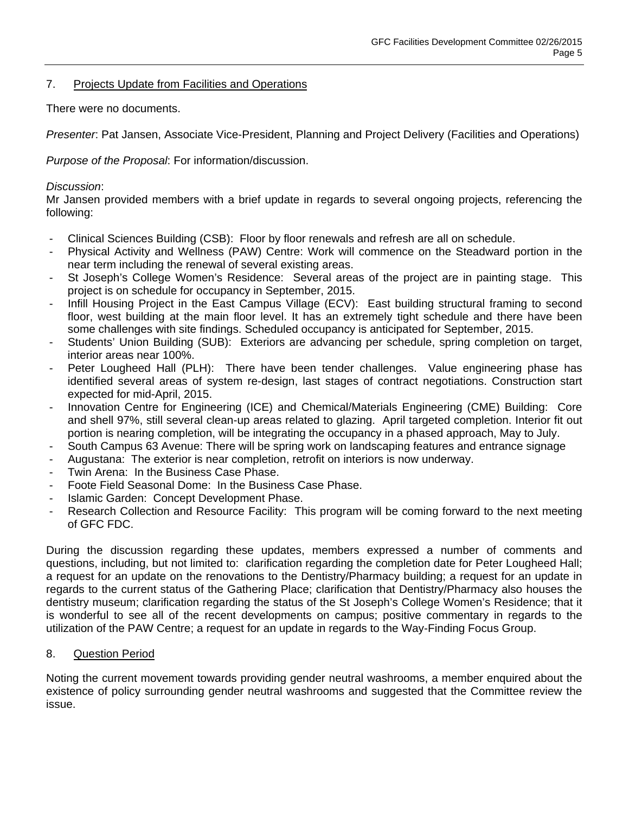# 7. Projects Update from Facilities and Operations

There were no documents.

*Presenter*: Pat Jansen, Associate Vice-President, Planning and Project Delivery (Facilities and Operations)

*Purpose of the Proposal*: For information/discussion.

### *Discussion*:

Mr Jansen provided members with a brief update in regards to several ongoing projects, referencing the following:

- Clinical Sciences Building (CSB): Floor by floor renewals and refresh are all on schedule.
- Physical Activity and Wellness (PAW) Centre: Work will commence on the Steadward portion in the near term including the renewal of several existing areas.
- St Joseph's College Women's Residence: Several areas of the project are in painting stage. This project is on schedule for occupancy in September, 2015.
- Infill Housing Project in the East Campus Village (ECV): East building structural framing to second floor, west building at the main floor level. It has an extremely tight schedule and there have been some challenges with site findings. Scheduled occupancy is anticipated for September, 2015.
- Students' Union Building (SUB): Exteriors are advancing per schedule, spring completion on target, interior areas near 100%.
- Peter Lougheed Hall (PLH): There have been tender challenges. Value engineering phase has identified several areas of system re-design, last stages of contract negotiations. Construction start expected for mid-April, 2015.
- Innovation Centre for Engineering (ICE) and Chemical/Materials Engineering (CME) Building: Core and shell 97%, still several clean-up areas related to glazing. April targeted completion. Interior fit out portion is nearing completion, will be integrating the occupancy in a phased approach, May to July.
- South Campus 63 Avenue: There will be spring work on landscaping features and entrance signage
- Augustana: The exterior is near completion, retrofit on interiors is now underway.
- Twin Arena: In the Business Case Phase.
- Foote Field Seasonal Dome: In the Business Case Phase.
- Islamic Garden: Concept Development Phase.
- Research Collection and Resource Facility: This program will be coming forward to the next meeting of GFC FDC.

During the discussion regarding these updates, members expressed a number of comments and questions, including, but not limited to: clarification regarding the completion date for Peter Lougheed Hall; a request for an update on the renovations to the Dentistry/Pharmacy building; a request for an update in regards to the current status of the Gathering Place; clarification that Dentistry/Pharmacy also houses the dentistry museum; clarification regarding the status of the St Joseph's College Women's Residence; that it is wonderful to see all of the recent developments on campus; positive commentary in regards to the utilization of the PAW Centre; a request for an update in regards to the Way-Finding Focus Group.

### 8. Question Period

Noting the current movement towards providing gender neutral washrooms, a member enquired about the existence of policy surrounding gender neutral washrooms and suggested that the Committee review the issue.